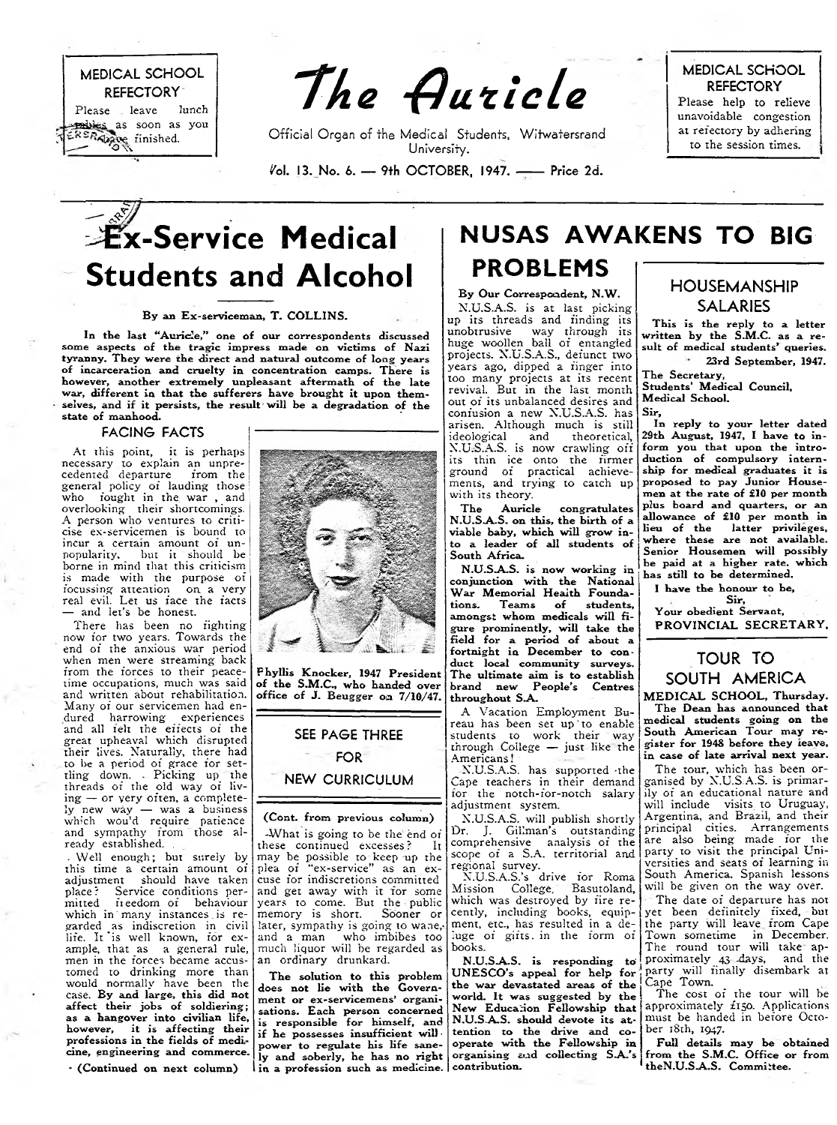

The Auricle

Official Organ of the Medical Students, Witwatersrand University.

 $i$ ol. 13. No. 6. - 9th OCTOBER, 1947. - Price 2d.

**MEDICAL SCHOOL REFECTORY**

Please help to relieve unavoidable congestion at refectory by adhering to the session times.

## **:x-Service Medical Students and Alcohol**

### **By an Ex-serviceman, T. COLLINS.**

**In the last "Auricle," one of our correspondents discussed some aspects of the tragic impress made on victims of Nazi tyranny. They were the direct and natural outcome of long years of incarceration and cruelty in concentration camps. There is however, another extremely unpleasant aftermath of the late war, different in that the sufferers have brought it upon themselves, and if it persists, the result will be a degradation of the state of manhood.**

## **FACING FACTS**

At this point, it is perhaps necessary to explain an unprecedented departure from the general policy of lauding those who fought in the war , and overlooking their shortcomings. A person who ventures to criticise ex-servicemen is bound to incur a certain amount of unpopularity, but it should be borne in mind that this criticism is made with the purpose of focussing attention on a very real evil. Let us face the facts — and let's be honest.

There has been no fighting now for two years. Towards the end of the anxious war period when men were streaming back from the forces to their peacetime occupations, much was said and written about rehabilitation. Many of our servicemen had endured harrowing experiences and all felt the effects of the great upheaval which disrupted their lives. Naturally, there had to be a period of grace for settling down. - Picking up the threads of the old way of living — or very often, a completely new way — was a business which wou'd require patience and sympathy from those already established.

. Well enough; but surely by this time a certain amount of adjustment should have taken place ? Service conditions per-mitted fieedom of behaviour which in many instances is regarded as indiscretion in civil life. It is well known, for example, that as a general rule, men in the forces became accustomed to drinking more than would normally have been the case. **By and large, this did not affect their jobs of soldiering; as a hangover into civilian life, however, it is affecting their professions in the fields of medicine, engineering and commerce.**

**\* (Continued on next column)**



**Phyllis Knocker, 1947 President of the S.M.C., who handed over office of J. Beugger on 7/10/47.**

## **SEE PAGE THREE**

## **FOR**

**NEW CURRICULUM**

## **(Cont. from previous column)**

-What is going to be the end of<br>nese continued excesses? It these continued excesses? may be possible to keep up the plea of "ex-service" as an excuse for indiscretions committed and get away with it for some years to come. But the public memory is short. Sooner or later, sympathy is going to wane, and a man who imbibes too much liquor will be regarded as an ordinary drunkard.

**The solution to this problem does not lie with the Government or ex-servicemens' organisations. Each person concerned is responsible for himself, and if he possesses insufficient will power to regulate his life sanely and soberly, he has no right in a profession such as medicine. contribution.**

## **NUSAS AWAKENS TO BIG**

## **PROBLEMS** By Our Correspondent, N.W.

N.U.S.A.S. is at last picking up its threads and finding its unobtrusive way through its huge woollen ball of entangled projects. N.U.S.A.S., defunct two years ago, dipped a finger into too many projects at its recent revival. But in the last month out of its unbalanced desires and confusion a new N.U.S.A.S. has arisen. Although much is still<br>ideological and theoretical, ideological and theoretical, N.U.S.A.S. is now crawling off its thin ice onto the firmer ground of practical achievements, and trying to catch up with its theory.

**The Auricle congratulates N.U.S.A.S. on this, the birth of a viable baby, which will grow into a leader of all students of South Africa.**

**N.U.S-A.S. is now working in conjunction with the National** War Memorial Health Founda**tions. Teams of students, amongst whom medicals will figure prominently, will take the field for a period of about a fortnight in December to conduct local community surveys. The ultimate aim is to establish brand new People's Centres throughout SA..**

A Vacation Employment Bureau has been set up to enable students to work their way through College — just like the Americans!

N.U.S.A.S. has supported -the Cape teachers in their demand for the notch-for-notch salary adjustment system.

N.U.S.A.S. will publish shortly Dr. J. Gillman's outstanding comprehensive analysis of the scope of a S.A. territorial and regional survey.

N.U.S.A.S.'s drive for Roma Mission College, Basutoland, which was destroyed by fire recently, including books, equipment, etc., has resulted in a deluge of gifts, in the form of books.

**N.U.S.A.S. is responding to' U NESCO 's appeal for help for the war devastated areas of the world. It was suggested by the New Education Fellowship that N.U.S.A.S. should devote its attention to the drive and cooperate with the Fellowship in organising aad collecting S -A 's**

## **HOUSEMANSHIP SALARIES**

**This is the reply to a letter written by the S.M.C. as a result of medical students\* queries. 23rd September, 1947.**

**The Secretary,**

**Students\* Medical Council, Medical School. Sir,**

**In reply to your letter dated 29th August, 1947, I have to inform you that upon the introduction of compulsory internship for medical graduates it is proposed to pay Junior Housemen at the rate of £10 per month plus hoard and quarters, or an allowance of £10 per month in lieu of the latter privileges, where these are not available. Senior Housemen will possibly be paid at a higher rate, which has still to be determined.**

**I have the honour to he,**

**Sir, Your obedient Servant,** PROVINCIAL SECRETARY,

## **TOUR TO SOUTH AM ERICA**

**MEDICAL SCHOOL, Thursday. The Dean has announced that medical students going on the South American Tour may register for 1948 before they leave, in case of late arrival next year.**

The tour, which has been organised by N.U.S.A.S. is primarily of an educational nature and will include visits to Uruguay, Argentina, and Brazil, and their principal cities. Arrangements are also being made for the party to visit the principal Universities and seats of learning in South America. Spanish lessons will be given on the way over.

The date of departure has not yet been definitely fixed, but the party will leave from Cape Town sometime in December. The round tour will take approximately 43 days, and the ■ party will finally disembark at Cape Town.

The cost of the tour will be approximately  $f_{150}$ . Applications must be handed in before October i8th, 1947.

**Full details may be obtained from the S.M.C. Office or from theN.U.S-A.S. Committee.**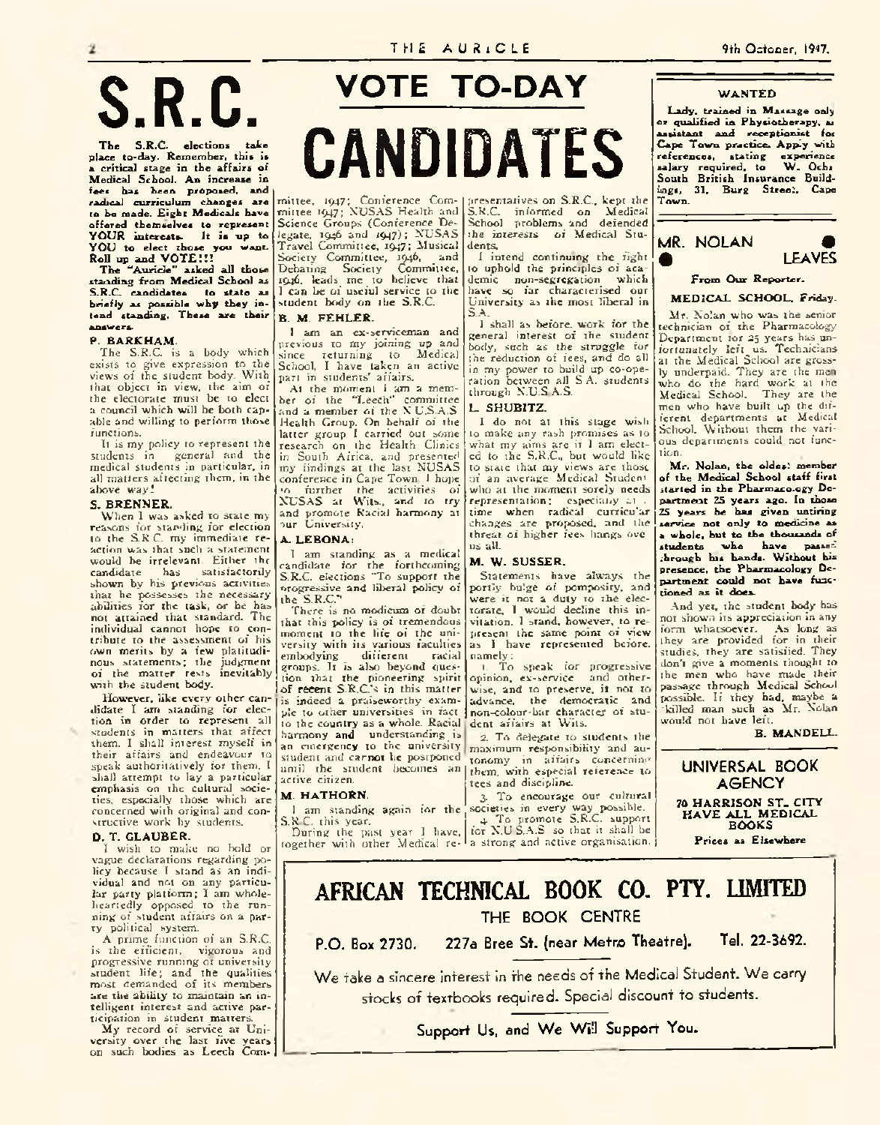#### **W A N T E D**

Lady, trained in Massage only **or qualified in Physiotherapy, at assistant and receptionist foi Cape Town practice- Apply with references, stating experience salary required, to W . Ochs South British Insurance Buildings, 31, Burg Street, Cape Town.**



## **From Our Reporter.**

**M E D IC A L SCHOOL, Friday.**

Mr. Xolan who was the senior technician of the Pharmacology Department for 25 years has unfortunately !eft\_ us. Technicians at the Medical School are grossly underpaid. They are the men who do the hard work at the Medical School. They arc the men who have built up the different departments at Medical School. Without them the various departments could not function.

Mr. Nolan, the oldes: member **of the Medical School staff first itarted in the Pharmaco.ogy Department 25 years ago. In those 25 years he has given untiring service not only to medicine as a whole, but to the thousands of students who have passed through his hands. Without his presence, the Pharmacology Department could not have functioned as it does.**

And yet, the student body has not shown its appreciation in any form whatsoever. As long as they are provided for in their studies, they are satisfied. They don't give a moments thought to the men who have made their passage through Medical School possible. If they had, maybe a •killed man such as Mr. Xolan would not have left.

**B. MANDELL.**

## **UNIVERSAL BOOK A G E N C Y**

**70 HARRISON ST. CITY HAVE ALL MEDICAL BOOKS**

**Prices as Elsewhere**

# S.R.C.

**The S.R.C. elections take place to-day. Remember, this is a critical stage in the affairs of Medical School. An increase in fees has been proposed, and radical curriculum changes are to be made. Eight Medicals have offered themselves to represent YO U R interests. It is up to YO U to elect those you want.**

**Roll up and V O T E !!! The "Auricle" asked all those standing from Medical School as S.R.C. candidates to state as briefly as possible why they intend standing. These are their answers.**

### **P. B A R K H A M .**

The S.R.C. is a body which exists to give expression to the views of the student body. With that object in view, the aim of the electorate must be to elect a council which will be both capable and willing to perform those functions.

It is my policy to represent the students in general and the medical students in particular, in all matters affecting them, in the above way!

## **S. BRENNER.**

When 1 was asked to state my reasons for standing for election to the S.R C. my immediate reaction was that such a statement would be irrelevant. Either the<br>candidate has satisfactorily satisfactorily shown by his previous activities that he possesses the necessaryabilities for the task, or he has not attained that standard. The individual cannot hope to contribute to the assessment of his own merits by a few platitudinous statements; the judgment of the matter rests inevitably with the student body.

However, like every other candidate I am standing for election in order to represent all students in matters that affect them. I shall interest myself in their affairs and endeavour to speak authoritatively for them. I shall attempt to lay a particular emphasis on the cultural societies, especially those which are concerned with original and constructive work by students.

### **D. T . G LAU BER.**

I wish to make no bold or vague declarations regarding policy because I stand as an individual and not on any particular party platform; I am wholeheartedly opposed to the running of student affairs on a party political system.

A prime function of an S.R.C. is the efficient, vigorous and progressive running of university student life; and the qualities most demanded of its members arc the ability to maintain an intelligent interest and active participation in student matters.

My record of service at University over the last five years on such bodies as Leech Com-

## **VOTE TO-DAY**

CANDIDATES

mittee, 1947; Conference Committee 1947; NUSAS Health and Science Groups (Conference Delegate, 1946 and 1947); NUSAS Travel Committee, 1947; Musical Society Committee, 1946, and Debating Society Committee, 1946, leads me to believe that 1 can be of useful service to the student body on the S.R.C.

## **B. M . FEH LER .**

1 am an ex-serviceman and previous to my joining *up* and since returning to Medical School, I have taken an active part in students' affairs.

At the moment 1 am a member of the "Leech'' committee and a member of the X U.S.A.S. Health Group. On behalf of the latter group I carried out some research on the Health Clinics in South Africa, and presented my findings at the last NUSAS conference in Cape Town. 1 hope

•o further the activities of X U SA S at Wits., and to try and promote Racial harmony at our University.

#### **A. L E B O N A :**

I am standing as a medical candidate for the forthcoming S.R.C. elections "To support the Progressive and liberal policy of the S.R.C."

There is no modicum of doubt that this policy is of tremendous moment to the life of the university with its various faculties<br>embodying different racial embodying different racial groups. It is also beyond ques tion that the pioneering spirit of recent S.R.C.'s in this matter is indeed a praiseworthy example to other universities in fact to the country as a whole. Racial harmony and understanding is

an emergency to the university student and carnot be postponed until the student becomes an them, with especial reference to active citizen.

## **M. HATHORN.**

1 am standing again for the S.R.C. this year. During the past year I have,

together with other Medical re-

#### presentatives on S.K.C., kept the S.R.C. informed on Medical School problems and defended the interests of Medical Students.

1 intend continuing the fight to uphold the principles of academic non-segregation which have so far characterised our University as the most liberal in S.A.

1 shall as before, work for the general interest of the student hotly, such as the struggle for the reduction of fees, and do all in my power to build up co-operation between all S A. students through X.U.S.A.S.

## **L. SH U B ITZ.**

I do not at this stage wish to make any rash promises as to what my aims arc if I am elected to the S.R.C., but would like to state that my views are those of an average Medical Student who at the moment sorely needs representation; especially at . time when radical curricu'ar changes are proposed, and the threat of higher fees hangs ove us all.

## **M. W. SUSSER.**

Statements have always the portly bulge of pomposity, and were it not a duty to the electorate. 1 would decline this invitation. I stand, however, to represent the same point of view<br>as I have represented before, namely:<br>1. To

To speak for progressive opinion, ex-service and otherwise, and to preserve, it not to advance, the democratic and non-colour-bar character of student affairs at Wits.

2. To delegate to students the maximum responsibility and autonomy in affairs concerning tees and discipline.

3. To encourage our cultural societies in every way possible. 4. To promote S.R.C. support for X.U.S.A.S. so that it shall be a strong and active organisation.

## AFRICAN TECHNICAL ROOK CO. PTY. LIMITED **THE BOOK CENTRE**

**P.0. Box 2730. 227a Bree St. (near Metro Theatre). Tel. 22-3692.** We take a sincere interest in the needs of the Medical Student. We carry

stocks of texrbooks required. Special discount to students.

Support Us, and We Will Support You.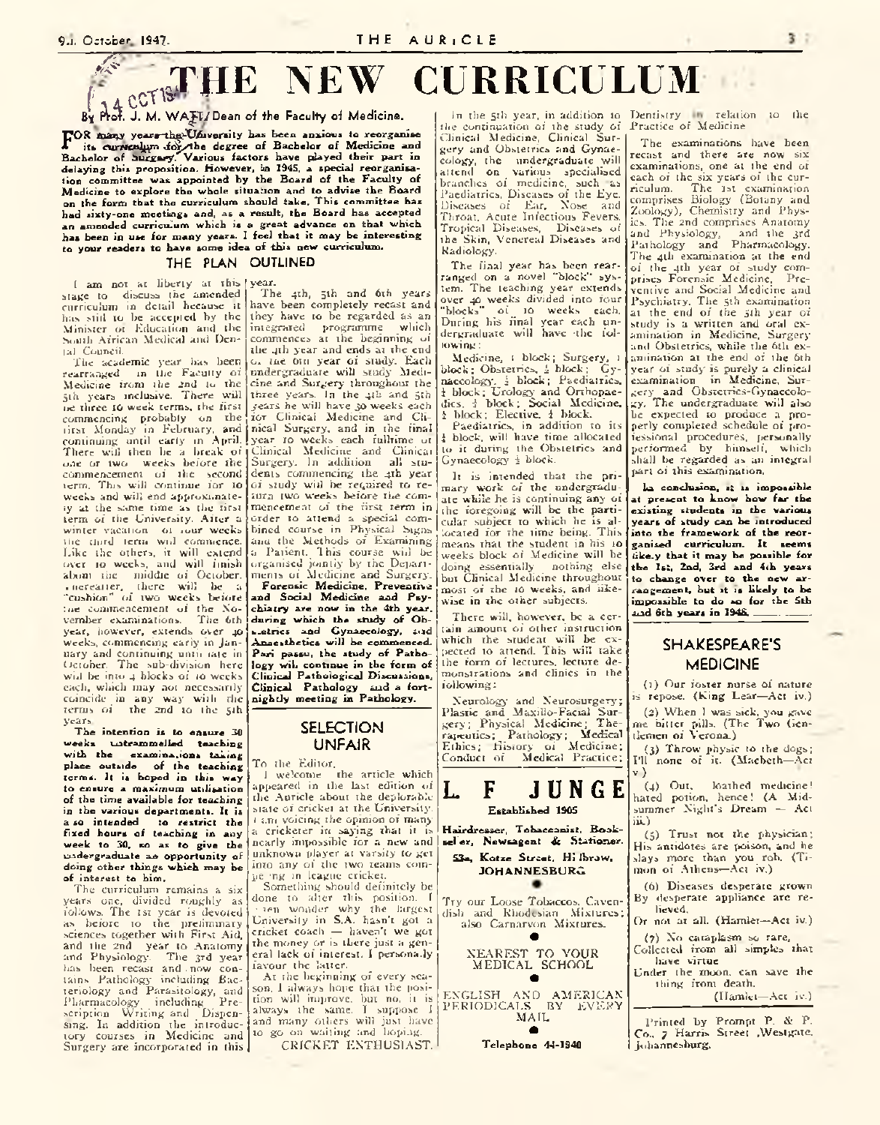## 9.1. October 1947.<br> **EXAMPLE NEW CIR** *&*  $f \sim 4$  C  $V$   $V$ **THE NEW REAL PROPERTY OF STREET**

**By fW . J. M. W A jW Dean of the Faculty of Medicine.**

**POR** many years-the University has been anxious to reorganise<br>**Representative in the degree** of Bachelor of Medicine and<br>Rachelor of Succused Various factors have played their part in its currienlym for the degree of Bachelor of Medicine and **Bachelor of isurgui'y';Various factors have piayed their part in delaying this proposition. However, in 2945, a special reorganisation committee was appointed by the Board of the Faculty of Medicine to explore the whole situation and to advise the Board on the form that the curriculum should take. This committee has had sixty-one meetings and, as a result, the Board has accepted an amended curriculum which is a great advance on that which has been in use for many years. 1 feel that it may be interesting** to your readers to have some idea of this new curriculum.

## **THE PLAN OUTLINED**

I am not at liberty at this year. stage to discuss the amended curriculum in detail because it has still to be accepted by the Minister of Education and the South African Medical and Dental Council.

The academic year has been rearranged m the Faculty of Medicine from the 2nd to the jth years inclusive. There will oe three 10 week terms, the first commencing probably on the first Monday in February, and continuing until early in April. There will then be a break of one or two weeks before the commencement of the second term. This will continue for to weeks and will end approximately at the same time as the first term of the University. After a winter vacation of iour weeks the third term will commence. Like the others, it will extend over to weeks, and will finish about the middle of October. . iicrcatter, there will be a "cushion" of two weeks before ine commencement of the No-<br>vember examinations. The 6th vember examinations. year, however, extends over 40 weeks, commencing early in Jan uary and continuing until late in October. The sub-division here will be into 4 blocks of 10 weeks. each, which may not necessarily coincide in any way with die terms of the 2nd to the 5th years.

**The intention is to ensure 30 weeks untrammelled teaching with the examina.ions taking place outside of the teaching terms. It is hoped in this way to ensure a maximum utilisation of the time available for teaching in the various departments. It is a so intended to restrict the fixed hours of teaching in any week to 30, so as to give the undergraduate an opportunity of doing other things which may be of interest to him.**

The curriculum remains a six years one, divided roughly as follows. The 1st year is devoted as before to the preliminary sciences together with First Aid, and the 2nd year to Anatomy and Physiology. The 3rd year has been recast and . now con-tains Pathology including Bacteriology and Parasitology, and Pharmacology including Prescription Writing and Dispensing. In addition the introductory courses in Medicine and Surgery are incorporated in this

The 4th, 5th and 6th years have been completely recast and they have to be regarded as an integrated programme which commences at the beginning of the 4th year and ends at the end o. tne Ota year of study. Each undergraduate will study Medicine and Surgery throughout the three years. In the 4th and 5th /ears he will have 30 weeks each for Clinical Medicine and Clinical Surgery, and in the final year 10 weeks each fulltime of Clinical Medicine and Clinical Surgery. In addition all students commencing the 4th year of study will be required to return two weeks before the commencement of the first term in order to attend a special combined course in Physical Signs anu the Methods of Examining a Patient. This course wid be organised jointly by the Departments of Medicine and Surgery. **Forensic Medicine, Preventive and Social Medicine and Psychiatry are now in the 4th year, during which the study of Obs.etrics and Gynaecology, sad Anaesthetics will be commenced.** Pari passu, the study of Patho**logy wil. continue in the form of Clinical Pathological Discussions, Clinical Pathology sad a fortnightly meeting in Pathology.**

## **SELECTION UNFAIR**

#### To the Editor,

1 welcome the article which appeared in the last edition of the Auricle about the deplorablestate of cricket at the University. 1 am voicing the opinion of many a cricketer in saying that it is nearly impossible for a new and unknown player at varsity to get into any of the two teams coinpe mg in league cricket.

Something should definitely be done to alter this position. I • ten wonder why the largest University in S.A. hasn't got a cricket coach — haven't we got the money or is there just a general lack of interest. I persona.ly favour the latter.

At the beginning of every season, 1 always hope that the position will improve, but no, it is always the same. I suppose 1 and many others will just have to go on waiting and hoping. CRICKET ENTHUSIAST.

In the 5th year, in addition to Dentistry the continuation of the study of Practice of Medicine.

Clinical Medicine, Clinical Surgery and Obstetrics and Gynaecology, the undergraduate will attend on various specialised branches of medicine, such -as Paediatrics, Diseases of the Eye. Diseases of Ear, Nose and Throat, Acute Infectious Fevers, Tropical Diseases, Diseases of the Skin, Venereal Diseases and Radiology.

The final year has been rearranged on a novel "block'' system. The teaching year extends over 40 weeks divided into four "blocks" of 10 weeks each. During his final year each undergraduate will have -the following:

Medicine, i block; Surgery, 1 block; Obstetrics, i block; Gynaecology, i block; Paediatrics, j block; Urology and Orthopaedics. 4 block; Social Medicine, I block; Elective, 1 block.

Paediatrics, in addition to its i block, will have time allocated to it during the Obstetrics and Gynaecology i block.

It is intended that the primary work of the undergraduate while he is continuing any of the foregoing will be the particular subject to which he is allocated for the time being. This means that the student in his io weeks block of Medicine will be doing essentially nothing else but Clinical Medicine throughout most of the io weeks, and likewise in the other subjects.

There will, however, be a certain amount of other instruction which the student will be expected to attend. This will take the form of lectures, lecture demonstrations and clinics in the following:

Neurology and Neurosurgery; Plastic and Maxiiio-Faciai Surgery; Physical Medicine; Therajeutics; Pathology; Medical Ethics; History of Medicine; Conduct of Medical Practice;

L F JUNGE **Established 1905 Hairdresser, Tobacconist, Booksel'er. Newsagent & Stationer. 53a, Kotze Street. Hi Ibrow, JOHANNESBURG** 

Try our Loose Tobaccos. Cavendish and Rhodesian Mixtures; also Carnarvon Mixtures.

• NEAREST TO YOUR

M EDICAL SCHOOL •

ENGLISH AND AMERICAN<br>PERIODICALS BY EVERY M AIL •

**Telephone 44-1940**

relation to the

The examinations have been recast and there are now six examinations, one at the end of each of the six years of the cur-<br>riculum. The 1st examination The 1st examination comprises Biology' (Botany and Zoology), Chemistry and Physics. The 2nd comprises Anatomy and Physiology, and the 3rd Pathology and Pharmacology. The 4th examination at the end of the 4th year of study comprises Forensic Medicine. Preventive and Social Medicine and Psychiatry. The 5th examination at the end of the 5th year of study is a written and oral examination in Medicine, Surgery and Obstetrics, while the 6th examination at the end of the 6th year of study' is purely a clinical examination in Medicine, Surgery and Obstetrics-Gynaecology. The undergraduate will also be expected to produce a properly completed schedule of professional procedures, personally performed by himself, which shall be regarded as an integral part of this examination.

**Io conclusion, «; is impossible at present to know bow far the existing students in the various years of study can be introduced into the framework of the reorganised curriculum. It seems like.y that it may be possible for the 1st, 2nd, 3rd and 4th years to change over to the new arrangement, hut it is likely to be impossible to do so for the 5th** and 6th years in 1948.

## **SHAKESPEARE'S MEDICINE**

(1) Our foster nurse of nature is repose. (King Lear—Act iv.)

(2) When I was sick, you gave me bitter pills. (The Two Gentlemen of Verona.)

(3) Throw physic to the dogs; I'll none of it. (Macbeth—Act v )

(4) Out. loathed medicine! hated potion, hence! (A Midsummer Night's Dream — Act iii.)

(5) Trust not the physician; His antidotes are poison, and he slays more than you rob. (Timon of Athens—Act iv.)

(6) Diseases desperate grown By desperate appliance arc relieved.

Or not at all. (Hamlet—Act iv.)

(7) No cataplasm so rare. Collected from all simples that

have virtue Under the moon, can save the thing from death.

(Hamlet—Act iv.)

l' rintcd by Prompt P. & P. Co., 7 Harris Street AVestgaic, Johannesburg.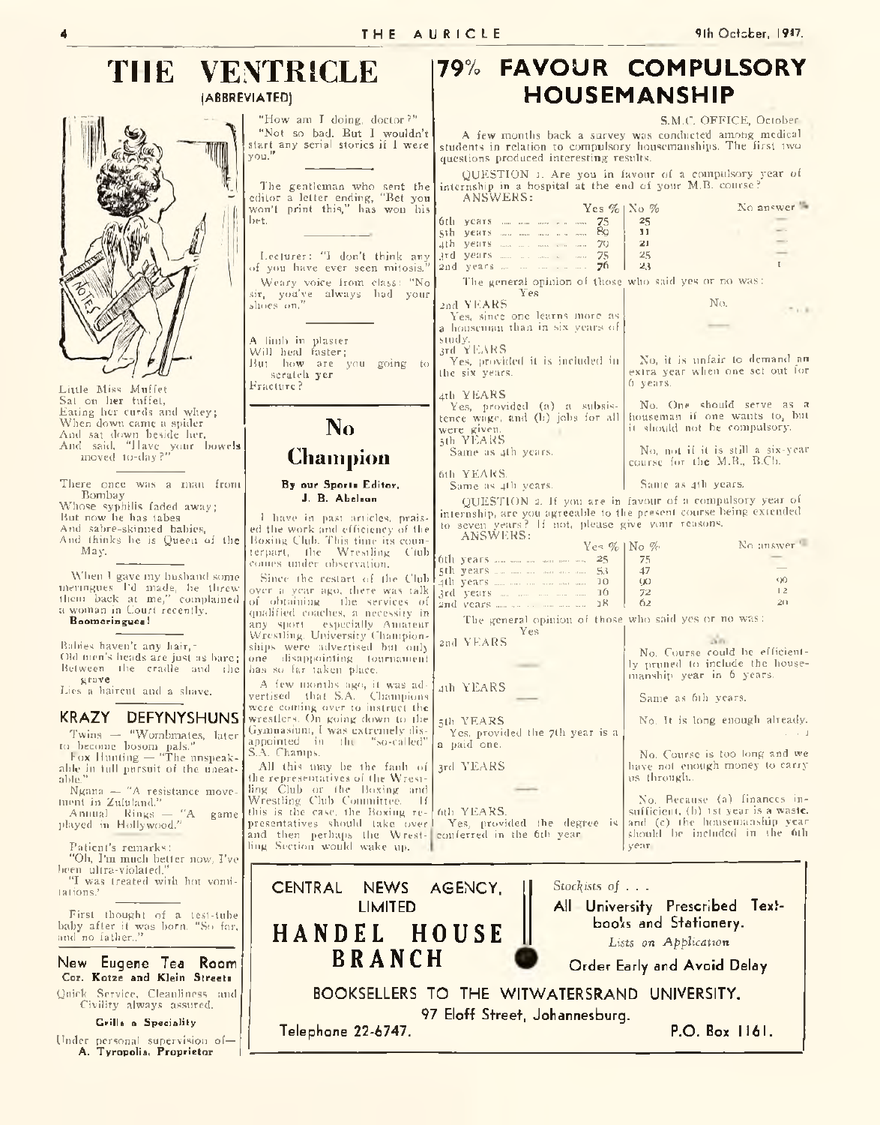## THE VENTRICLE 179% FAVOUR COMPULSORY **(ABBREVIATED) HOUSEMANSHIP**

Little Miss Muffet Sat on her tuffet, Eating her curds and whey; When down came a spider And sat down beside her. And said, "Have your bowel**s** moved to-day?"

There once was a man from Bombay Whose syphilis faded away; But now he has tabes And sabre-skinned babies, And thinks be is Queen of the May.

When 1 gave my husband some meringues I'd made, he threw them back at me," complained a woman in Court recently. **Boomeringues!** over a yea of obtaining qualified c any sport

Babies haven't any hair, ~ Old men's heads are just as bare; Between the cradle and the grave

Lies a haircut and a shave.

## **KRAZY DEFYNYSHUNS**

Twins — "Wombmates, later to become bosom pals.'' box Hunting — "The unspeak-

able in full pursuit of the uneat-able." Ngana — "A resistance move-

ment in Zululand.'' Annual Kings — "A game

played in Hollywood."

Patient's remarks:

"Oh, I'm much better now, I've

been ultra-violated." "I was treated with hot vomilations.'

First thought of a test-tube baby after it was born. "So far, and no father.,"

**New Eugene Tea Room Cor. Kotze and Klein Streets** Quick Service. Cleanliness and Civility always assured.

**Grills a Speciality**

Under personal supervision of— **A. Tyropolis, Proprietor I**

| N TIULULI<br>VIATED)                                                                                                                                                                                                                  | <b>HOUSEMANSHIP</b>                                                                                                                                                                                                                                                                                                                 |                                                                                                               |                                               |
|---------------------------------------------------------------------------------------------------------------------------------------------------------------------------------------------------------------------------------------|-------------------------------------------------------------------------------------------------------------------------------------------------------------------------------------------------------------------------------------------------------------------------------------------------------------------------------------|---------------------------------------------------------------------------------------------------------------|-----------------------------------------------|
| "How am I doing, doctor?"<br>"Not so bad. But I wouldn't<br>start any serial stories if I were<br>vou."                                                                                                                               | S.M.C. OFFICE, October<br>A few months back a survey was conducted among medical<br>students in relation to compulsory housemanships. The first two<br>questions produced interesting results.                                                                                                                                      |                                                                                                               |                                               |
| The gentleman who sent the                                                                                                                                                                                                            | QUESTION 1. Are you in favour of a compulsory year of<br>internship in a hospital at the end of your M.B. course?                                                                                                                                                                                                                   |                                                                                                               |                                               |
| editor a letter ending, "Bet you<br>won't print this," has won his<br>bet.<br>Lecturer: "I don't think any                                                                                                                            | ANSWERS:<br>$Yes \%$   $No \%$<br>75<br>6th years and man was comment<br>89<br>sih years was made a warm<br>ath years and a market man 70<br>and years and an amount and<br>75                                                                                                                                                      | 25<br>11<br>21<br>25                                                                                          | No answer                                     |
| of you have ever seen mitosis."<br>Weary voice from class: "No<br>sir, you've always had your<br>slioes on,"                                                                                                                          | 2nd years<br>76<br>The general opinion of those who said yes or no was:<br>Yes<br>2nd YEARS<br>Yes, since one learns more as                                                                                                                                                                                                        | 23<br>No.                                                                                                     | $\mathbf{r}$                                  |
| A limb in plaster<br>Will heal faster:<br>But how are you going to<br>scratch yer<br>Fracture?                                                                                                                                        | a houseman than in six years of<br>study.<br>3rd YEARS<br>Yes, provided it is included in<br>the six years.<br>4th YEARS                                                                                                                                                                                                            | No, it is unfair to demand an<br>extra year when one set out for<br>$0$ years.                                |                                               |
| N <sub>0</sub>                                                                                                                                                                                                                        | Yes, provided (a) a subsis-<br>tence wage, and (b) jobs for all<br>were given.<br>5th YEARS                                                                                                                                                                                                                                         | No. One should serve as a<br>houseman if one wants to, but<br>it should not be compulsory.                    |                                               |
| <b>Champion</b>                                                                                                                                                                                                                       | Same as 4th years.                                                                                                                                                                                                                                                                                                                  | No, not if it is still a six-year<br>course for the $M.R., B.C.h.$                                            |                                               |
| By our Sports Editor,<br>J. B. Abelson<br>I have in past articles, prais-                                                                                                                                                             | 6th YEARS.<br>Same as 4th years.<br>Same as 4th years.<br>QUESTION 2. If you are in favour of a compulsory year of<br>internship, are you agreeable to the present course being extended<br>to seven years? If not, please give your reasons.                                                                                       |                                                                                                               |                                               |
| ed the work and efficiency of the<br>Boxing Club. This time its coun-<br>terpart, the Wrestling Ciub<br>comes under observation.<br>Since the restart of the Club-<br>over a year ago, there was talk<br>of obtaining the services of | ANSWERS:<br>Yes $\%$   No $\%$<br>53 - 53 - Stephen Stephen Stephen Stephen Stephen Stephen Stephen Stephen Stephen Stephen Stephen Stephen Stephen Stephen Stephen Stephen Stephen Stephen Stephen Stephen Stephen Stephen Stephen Stephen Stephen Stephen Step<br>4th years …… …… …… …… …… 10<br>$3rd$ years $m = m = m = m = 10$ | 75<br>47<br>00<br>72<br>62                                                                                    | No answer <sup>1</sup><br>$^{00}$<br>12<br>20 |
| qualified coaches, a necessity in<br>any sport especially Amateur<br>Wrestling, University Champion-<br>ships were advertised but only<br>one disappointing tournament<br>has so far taken place.                                     | The general opinion of those who said yes or no was:<br>Yes<br>2ad YEARS                                                                                                                                                                                                                                                            | OUT.<br>No. Course could be efficient-<br>ly pruned to include the house-<br>manship year in 6 years.         |                                               |
| A few months ago, it was ad-   4th YEARS<br>vertised that S.A. Champions<br>were coming over to instruct the<br>wrestlers. On going down to the<br>Gymnasium, I was extremely dis-<br>appointed in the "so-called"                    | 5th YEARS<br>Yes, provided the 7th year is a<br>a paid one.                                                                                                                                                                                                                                                                         | Same as 6th years.<br>No. It is long enough already.                                                          |                                               |
| S.A. Champs.<br>All this may be the fanh of<br>the representatives of the Wrest-<br>ling Club of the Boxing and<br>Wrestling Club Committee. If                                                                                       | 3rd YEARS                                                                                                                                                                                                                                                                                                                           | No. Course is too long and we<br>have not enough money to carry<br>us through<br>No. Because (a) finances in- |                                               |

Yes, provided the degree is No. Because (a) finances insufficient, (b) 1st year is a waste. and (c) the housemanship year should he included in the 6th year.



6th YEARS.

conferred in the 6th year.

**Telephone 22-6747. P.O.Box 1161.**

this is the case, the Boxing representatives should lake over and then perhaps the Wrestling Section would wake up.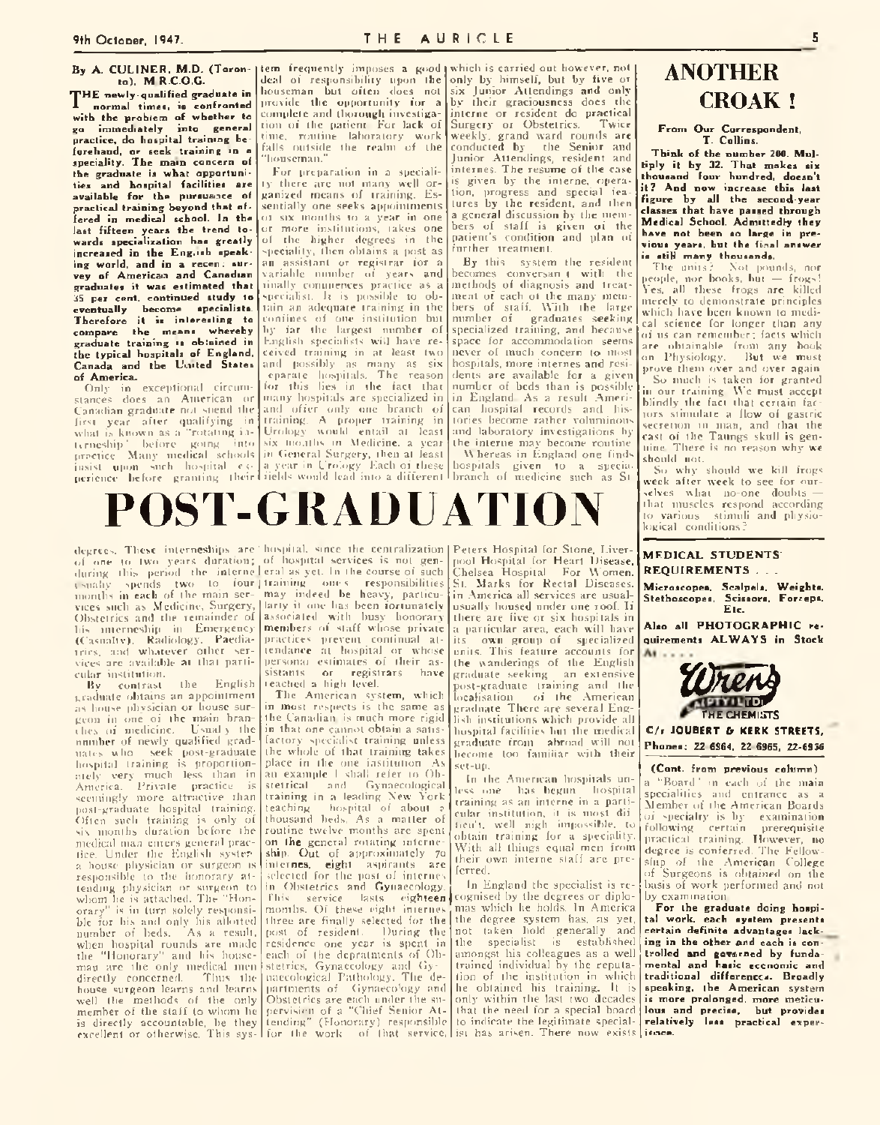## **9th October, 1947. T H E AURICLE 5**

#### By A. CULINER, M.D. (Taron-Item frequently imposes a good which is carried out however, not **to). M.R.C.O.G.**

**THE newly-qualified graduate in**<br>normal times, is confronted **normal times, is confronted with the problem of whether to go immediately into general practice, do hospital training beforehand, or seek training in a speciality. The main concern of the graduate is what opportunities and hospital facilities are available for the pursuance of** practical training beyond that of**fered in medical school. In the last fifteen years the trend towards specialization has greatly increased in the Eng.ish speak**ing world, and in a recen: sur**vey of American and Canadian graduates it was estimated that 35 per cent, continued study to** specialist. It is possible to ob**eventually become specialists. Therefore it is interesting to compare the means whereby graduate training is obtained in the typical hospitals of England, Canada and the United States of America.**

Only in exceptional circumstances docs an American or Canadian graduate not spend the and offer only one branch of first year after qualifying in what is known as a "rotating in-Urology would entail at least urncship' before going into practice Many medical schools in General Surgery, then at least insist upon such hospital experience before granting their

houseman but often docs not provide the opportunity for a complete and thorough investigation of the patient. For lack of time, routine laboratory work falls outside the realm of the "houseman."

For preparation in a speciality there are not many well organized means of training. Essentially one seeks appointments ot six months to a year in one or more institutions, takes one of the higher degrees in the speciality, then obtains a post as an assistant or registrar for a variable number of years and finally commences practice as a tain an adequate training in the confines of one institution but by far the largest number of English specialists will have received training in at least two and possibly as many as six eparate hospitals. The reason for this lies in the fact that many hospitals arc specialized in training. A proper training in six months in Medicine, a year a year in Urology. Each of these fields would lead into a different

deal of responsibility upon the only by himself, but by five or six Junior Attendings and only by their graciousness docs the interne or resident do practical<br>Sureery or Obstetrics. Twice Surgery or Obstetrics. weekly, grand ward rounds are conducted by the Senior and Junior Attendings, resident and internes. The resume of the case is given by the interne, operation, progress and special features by the resident, and then a general discussion by the members of staff is given of the patient's condition and plan of further treatment.

By this system the resident becomes conversan t with the methods of diagnosis and treatment of each ot the many members of staff. With the large number of graduates seeking specialized training, and because space for accommodation seems never of much concern to most hospitals, more internes and residents are available for a given number of beds than is possible in England. As a result American hospital records and histories become rather voluminous and laboratory investigations by the interne may become routine. \\ hereas in England one finds

hospitals given to a specia; branch of medicine such as St

## **ANOTHER CROAK !**

**From Our Correspondent, T. Collins.**

Think of the number 200. Mul**tiply it by 32. That makes six thousand four hundred, doesn't it ? And now increase this last figure by all the second-year classes that have passed through Medical School. Admittedly they have not been so large in previous years, but the final answer is still many thousands.**<br>The units? Not pour

Not pounds, nor people, nor books, but — frogs! Yes, all these frogs are killed merely to demonstrate principles which have been known to medical science for longer than any of us can remember; facts which<br>are obtainable from any book obtainable from any book on Physiology. But we must prove them over and over again. So much is taken for granted

in our training. We must accept blindly the fact that certain factors stimulate a flow of gastric secretion in man, and that the cast of the Taungs skull is genuine. There is no reason why we should not.

So why should we kill frogs week after week to see for ourselves what no-one doubts that muscles respond according to various stimuli and physiological conditions ?



degrees. These interneships are ' hospital. since the centralization Peters Hospital for Stone, Liverof one to two years duration; of hospital services is not genduring this period the internelleral as yet. In the course of such usually spends two to four j training one s responsibilities months in each of the main ser-may indeed be heavy, particuvices such as Medicine, Surgery, larly it one has been fortunately Obstetrics and the remainder of his interneship in Emergency (Casualty). Radiology. Paediatrics. and whatever other services arc available at that particular institution.

By contrast the English graduate obtains an appointment as bouse physician or house surgeon in one of the main brandies of medicine. Usual y the number of newly qualified graduates who seek post-graduate hospital training is proportionately very much less than in America. Private practice is seemingly more attractive than post-graduate hospital training. Often such training is only of six months duration before the medical man enters general practice. Under the English systera house physician or surgeon is responsible to the honorary attending physician or surgeon to whom lie is attached. The "Honorary" is in turn solely responsible for his and only his allotted<br>number of beds. As a result, number of beds. when hospital rounds are made the "Honorary" and his houseman arc the only medical men directly concerned. Thus the house surgeon learns and learns well the methods of the only member of the staff to whom he is directly accountable, be they excellent or otherwise. This sys-

associated with busy honorary members of staff whose private practices prevent continual attendance at hospital or whose personal estimates of their as-<br>sistants or registrars have registrars have reached a high level.

The American system, which in most respects is the same as the Canadian, is much more rigid in that one cannot obtain a satisfactory specialist training unless the whole of that training takes<br>place in the one institution. As place in the one institution. an example I shall refer to Obstetrical and Gynaecological training in a leading Xew York teaching hospital of about ? thousand beds. As a matter of routine twelve months are spent on the general rotating interneship. Out of approximately 70 internes, eight aspirants are selected for the post of internes in Obstetrics and Gynaecology. This service lasts eighteen months. Of these eight internes three are finally selected for the<br>post of resident. During the post of resident. residence one year is spent in each of the depratments of Obstetrics, Gynaecology and Gynaecological Pathology. The departments of Gynaeco'ogy and Obstetrics are each under the supervision of a "Chief Senior Attending" (Honorary) responsible for the work of that service,

pool Hospital for Heart Disease, Chelsea Hospital For Women. St. Marks for Rectal Diseases, in America all services are usualusually housed under one roof. If there are five or six hospitals in a particular area, each will have its own group of specialized units. This feature accounts for the wanderings of the English graduate seeking an extensive post-graduate training and the localisation of the American graduate. There are several English institutions which provide all hospital facilities hut the medical graduate from abroad will not become too familiar with their set-up.

In the American hospitals unless one has begun hospital training as an interne in a particular institution, it is most dif ticu't, well nigh impossible, to obtain training for a speciality. With all things equal men from their own interne staff arc preferred.

In England the specialist is recognised by the degrees or diplomas which be holds. In America the degree system has, as yet,<br>not taken hold generally and not taken hold generally the specialist is established amongst his colleagues as a well trained individual by the reputation of the institution in which he obtained his training. It is only within the last two decades that the need for a special board to indicate the legitimate specialist has arisen. There now exists

**MEDICAL STUDENTS REQUIREMENTS...** 

**Microscopes, Scalpels, Weights, Stethoscopes, Scissors. Forceps, Etc.**

Also all PHOTOGRAPHIC re**quirements A L W A Y S in Stock**  $\mathbf{A}$ 



C/r JOUBERT & KERK STREETS, **Phones: 22-6S64, 22 6965, 22-6956**

**(Cont. from previous column)**

a "Board ' in each of the main specialities and entrance as a Member of the American Boards of specialty is by examination following certain prerequisite practical training. However, no degree is conferred. The Fellowship of the American College of Surgeons is obtained on the basis of work performed and not by examination.

**For the graduate doing hospital work, each system presents certain definite advantages lacking in the other and each is controlled and governed by fundamental and basic economic and traditional differences. Broadly speaking, the American system is more prolonged, more meticulous and precise, but provides relatively less practical experience.**